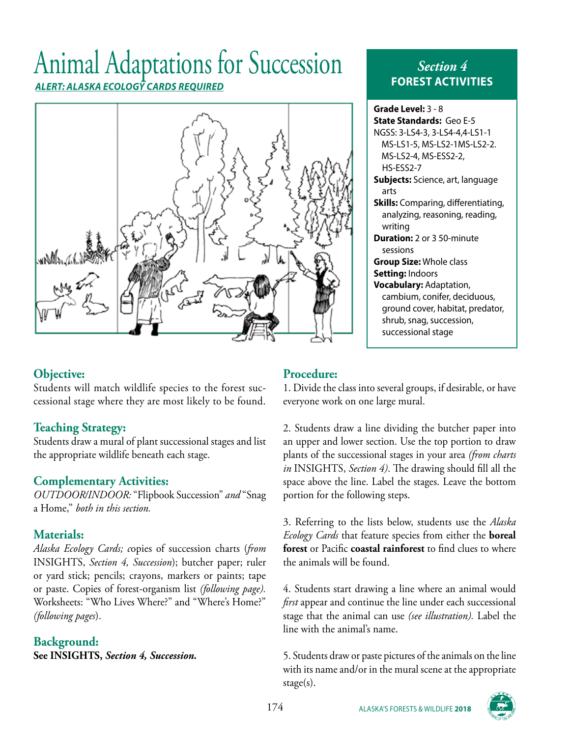# Animal Adaptations for Succession *ALERT: ALASKA ECOLOGY CARDS REQUIRED*



### **Objective:**

Students will match wildlife species to the forest successional stage where they are most likely to be found.

# **Teaching Strategy:**

Students draw a mural of plant successional stages and list the appropriate wildlife beneath each stage.

# **Complementary Activities:**

*OUTDOOR/INDOOR:* "Flipbook Succession" *and* "Snag a Home," *both in this section.*

# **Materials:**

*Alaska Ecology Cards; c*opies of succession charts (*from*  INSIGHTS, *Section 4, Succession*); butcher paper; ruler or yard stick; pencils; crayons, markers or paints; tape or paste. Copies of forest-organism list *(following page).*  Worksheets: "Who Lives Where?" and "Where's Home?" *(following pages*).

# **Background:**

**See INSIGHTS,** *Section 4, Succession.*

# *Section 4* **FOREST ACTIVITIES**

**Grade Level:** 3 - 8 **State Standards:** Geo E-5 NGSS: 3-LS4-3, 3-LS4-4,4-LS1-1 MS-LS1-5, MS-LS2-1MS-LS2-2. MS-LS2-4, MS-ESS2-2, HS-ESS2-7 **Subjects:** Science, art, language arts **Skills:** Comparing, differentiating, analyzing, reasoning, reading, writing **Duration:** 2 or 3 50-minute sessions **Group Size:** Whole class **Setting:** Indoors **Vocabulary:** Adaptation, cambium, conifer, deciduous, ground cover, habitat, predator, shrub, snag, succession, successional stage

# **Procedure:**

1. Divide the class into several groups, if desirable, or have everyone work on one large mural.

2. Students draw a line dividing the butcher paper into an upper and lower section. Use the top portion to draw plants of the successional stages in your area *(from charts in* INSIGHTS, *Section 4)*. The drawing should fill all the space above the line. Label the stages. Leave the bottom portion for the following steps.

3. Referring to the lists below, students use the *Alaska Ecology Cards* that feature species from either the **boreal forest** or Pacific **coastal rainforest** to find clues to where the animals will be found.

4. Students start drawing a line where an animal would *first* appear and continue the line under each successional stage that the animal can use *(see illustration).* Label the line with the animal's name.

5. Students draw or paste pictures of the animals on the line with its name and/or in the mural scene at the appropriate stage(s).

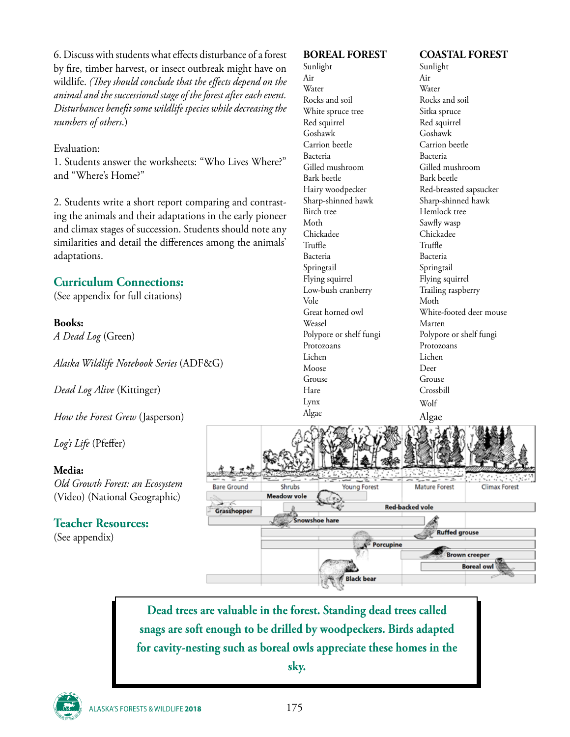6. Discuss with students what effects disturbance of a forest by fire, timber harvest, or insect outbreak might have on wildlife. *(They should conclude that the effects depend on the animal and the successional stage of the forest after each event. Disturbances benefit some wildlife species while decreasing the numbers of others*.)

#### Evaluation:

1. Students answer the worksheets: "Who Lives Where?" and "Where's Home?"

2. Students write a short report comparing and contrasting the animals and their adaptations in the early pioneer and climax stages of succession. Students should note any similarities and detail the differences among the animals' adaptations.

# **Curriculum Connections:**

(See appendix for full citations)

#### **Books:**

*A Dead Log* (Green)

*Alaska Wildlife Notebook Series* (ADF&G)

*Dead Log Alive* (Kittinger)

*How the Forest Grew* (Jasperson)

*Log's Life* (Pfeffer)

#### **Media:**

*Old Growth Forest: an Ecosystem*  (Video) (National Geographic)

# **Teacher Resources:**

(See appendix)



**BOREAL FOREST**

Gilled mushroom Bark beetle Hairy woodpecker Sharp-shinned hawk

Birch tree Moth Chickadee Truffle Bacteria

Hare Lynx

Sunlight Air Water Rocks and soil White spruce tree Red squirrel Goshawk Carrion beetle Bacteria



**Dead trees are valuable in the forest. Standing dead trees called snags are soft enough to be drilled by woodpeckers. Birds adapted for cavity-nesting such as boreal owls appreciate these homes in the sky.**



#### **COASTAL FOREST**

Sunlight Air Water Rocks and soil Sitka spruce Red squirrel Goshawk Carrion beetle Bacteria Gilled mushroom Bark beetle Red-breasted sapsucker Sharp-shinned hawk Hemlock tree Sawfly wasp Chickadee Truffle Bacteria Springtail White-footed deer mouse Grouse Crossbill Wolf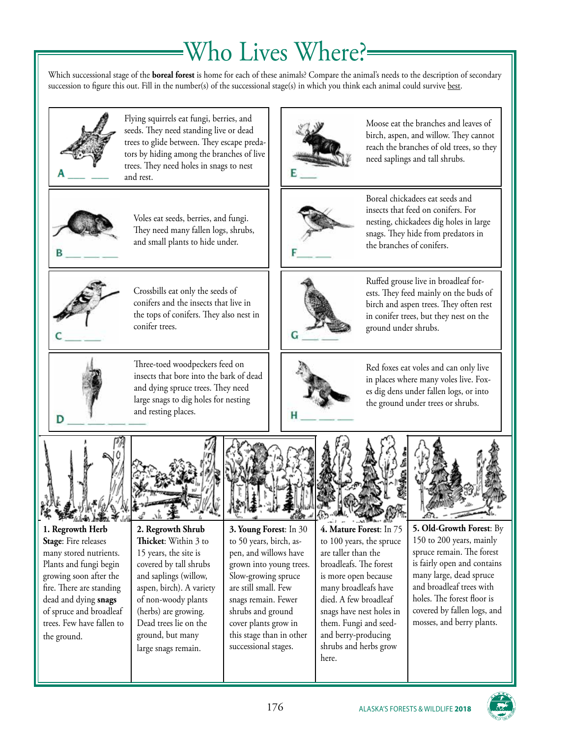# Who Lives Where?

Which successional stage of the **boreal forest** is home for each of these animals? Compare the animal's needs to the description of secondary succession to figure this out. Fill in the number(s) of the successional stage(s) in which you think each animal could survive best.



Flying squirrels eat fungi, berries, and seeds. They need standing live or dead trees to glide between. They escape predators by hiding among the branches of live trees. They need holes in snags to nest and rest.



Voles eat seeds, berries, and fungi. They need many fallen logs, shrubs, and small plants to hide under.



Crossbills eat only the seeds of conifers and the insects that live in the tops of conifers. They also nest in conifer trees.

Three-toed woodpeckers feed on insects that bore into the bark of dead and dying spruce trees. They need large snags to dig holes for nesting and resting places.



Moose eat the branches and leaves of birch, aspen, and willow. They cannot reach the branches of old trees, so they need saplings and tall shrubs.



Boreal chickadees eat seeds and insects that feed on conifers. For nesting, chickadees dig holes in large snags. They hide from predators in the branches of conifers.



Ruffed grouse live in broadleaf forests. They feed mainly on the buds of birch and aspen trees. They often rest in conifer trees, but they nest on the ground under shrubs.



Red foxes eat voles and can only live in places where many voles live. Foxes dig dens under fallen logs, or into the ground under trees or shrubs.



**1. Regrowth Herb Stage**: Fire releases many stored nutrients. Plants and fungi begin growing soon after the fire. There are standing dead and dying **snags**  of spruce and broadleaf trees. Few have fallen to the ground.



**Thicket**: Within 3 to 15 years, the site is covered by tall shrubs and saplings (willow, aspen, birch). A variety of non-woody plants (herbs) are growing. Dead trees lie on the ground, but many large snags remain.

**3. Young Forest**: In 30 to 50 years, birch, aspen, and willows have grown into young trees. Slow-growing spruce are still small. Few snags remain. Fewer shrubs and ground cover plants grow in this stage than in other successional stages.

**4. Mature Forest**: In 75 to 100 years, the spruce are taller than the broadleafs. The forest is more open because many broadleafs have died. A few broadleaf snags have nest holes in them. Fungi and seedand berry-producing shrubs and herbs grow here.



**5. Old-Growth Forest**: By 150 to 200 years, mainly spruce remain. The forest is fairly open and contains many large, dead spruce and broadleaf trees with holes. The forest floor is covered by fallen logs, and mosses, and berry plants.